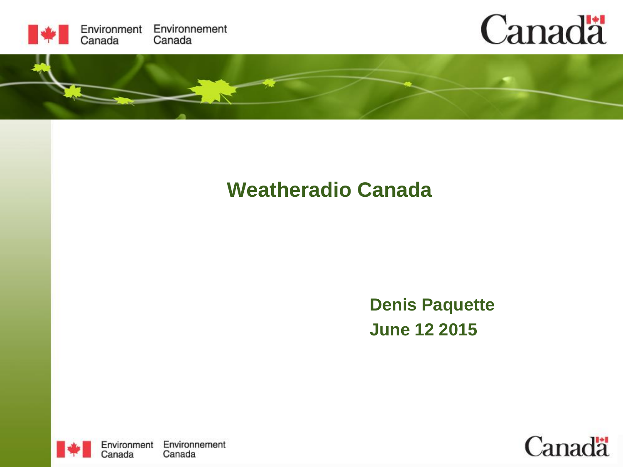

#### **Weatheradio Canada**

#### **Denis Paquette June 12 2015**



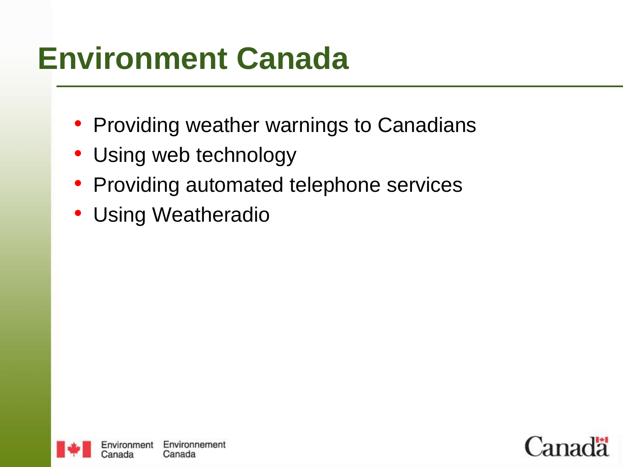### **Environment Canada**

- Providing weather warnings to Canadians
- Using web technology
- Providing automated telephone services
- Using Weatheradio



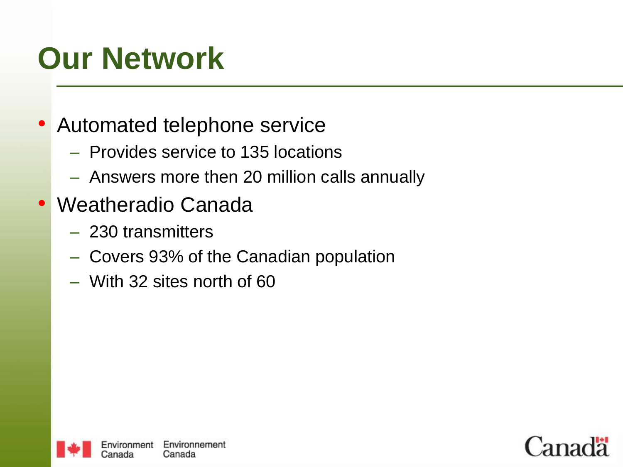### **Our Network**

- Automated telephone service
	- Provides service to 135 locations
	- Answers more then 20 million calls annually
- Weatheradio Canada
	- 230 transmitters
	- Covers 93% of the Canadian population
	- With 32 sites north of 60



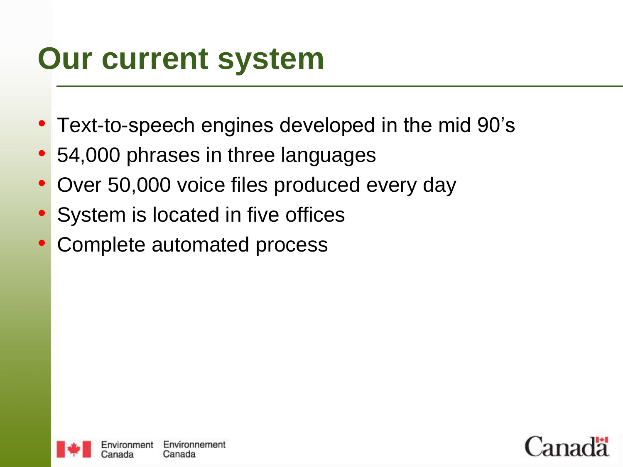### **Our current system**

- Text-to-speech engines developed in the mid 90's
- 54,000 phrases in three languages
- Over 50,000 voice files produced every day
- System is located in five offices
- Complete automated process



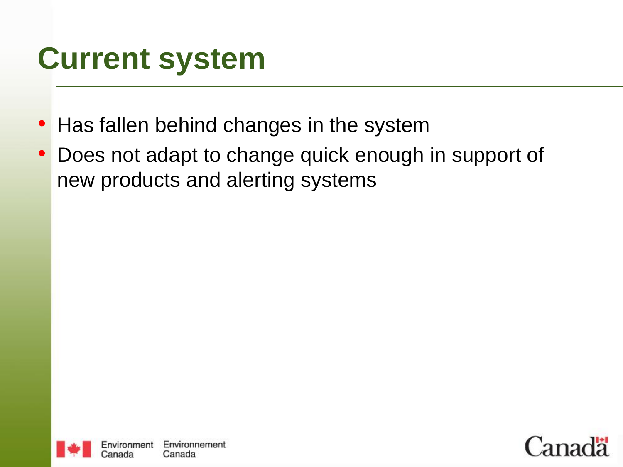### **Current system**

- Has fallen behind changes in the system
- Does not adapt to change quick enough in support of new products and alerting systems



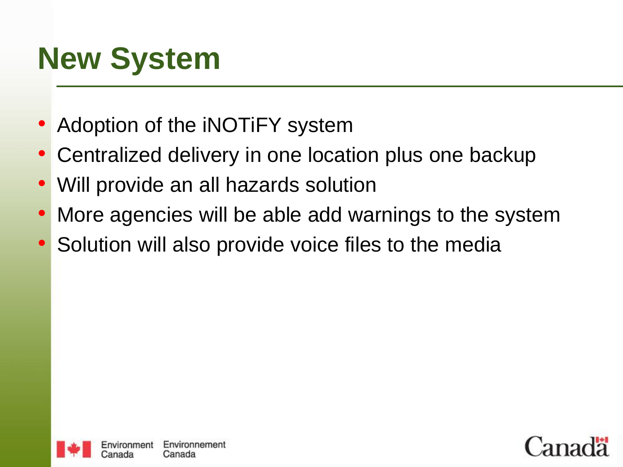### **New System**

- Adoption of the **iNOTIFY** system
- Centralized delivery in one location plus one backup
- Will provide an all hazards solution
- More agencies will be able add warnings to the system
- Solution will also provide voice files to the media



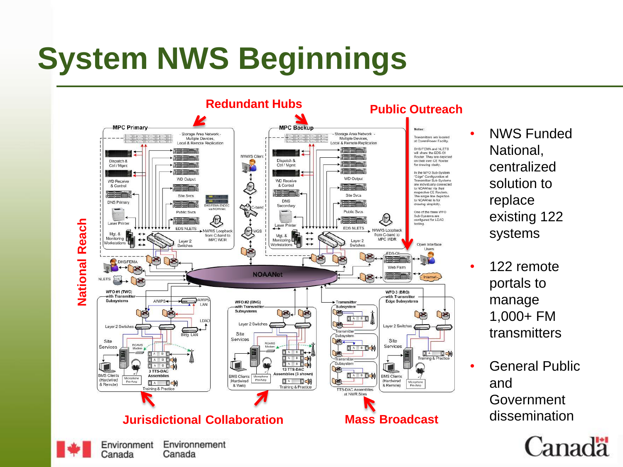### **System NWS Beginnings**

Canada

Canada



• NWS Funded National, centralized solution to replace existing 122 systems

- 122 remote portals to manage 1,000+ FM transmitters
- General Public and Government dissemination

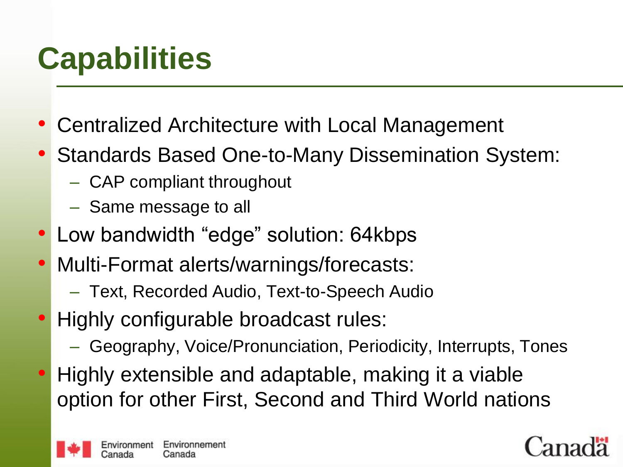### **Capabilities**

- Centralized Architecture with Local Management
- Standards Based One-to-Many Dissemination System:
	- CAP compliant throughout
	- Same message to all
- Low bandwidth "edge" solution: 64kbps
- Multi-Format alerts/warnings/forecasts:
	- Text, Recorded Audio, Text-to-Speech Audio
- Highly configurable broadcast rules:
	- Geography, Voice/Pronunciation, Periodicity, Interrupts, Tones
- Highly extensible and adaptable, making it a viable option for other First, Second and Third World nations



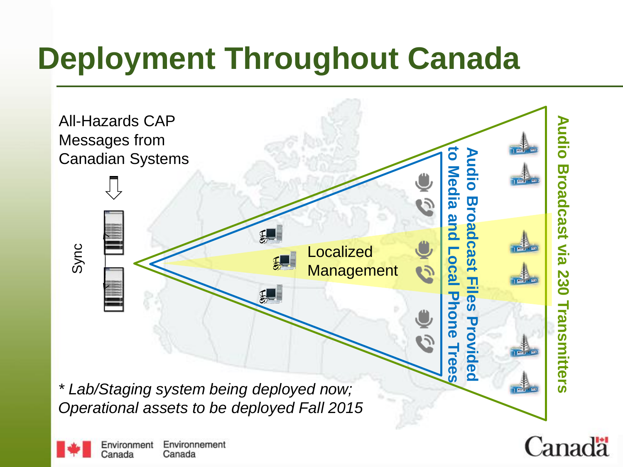### **Deployment Throughout Canada**



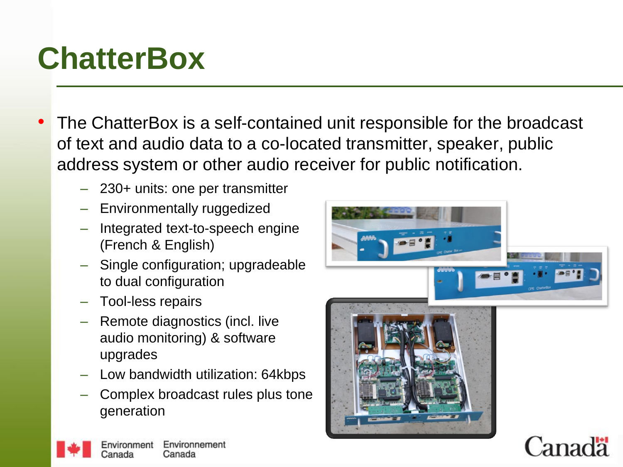### **ChatterBox**

- The ChatterBox is a self-contained unit responsible for the broadcast of text and audio data to a co-located transmitter, speaker, public address system or other audio receiver for public notification.
	- 230+ units: one per transmitter
	- Environmentally ruggedized
	- Integrated text-to-speech engine (French & English)
	- Single configuration; upgradeable to dual configuration
	- Tool-less repairs
	- Remote diagnostics (incl. live audio monitoring) & software upgrades
	- Low bandwidth utilization: 64kbps
	- Complex broadcast rules plus tone generation



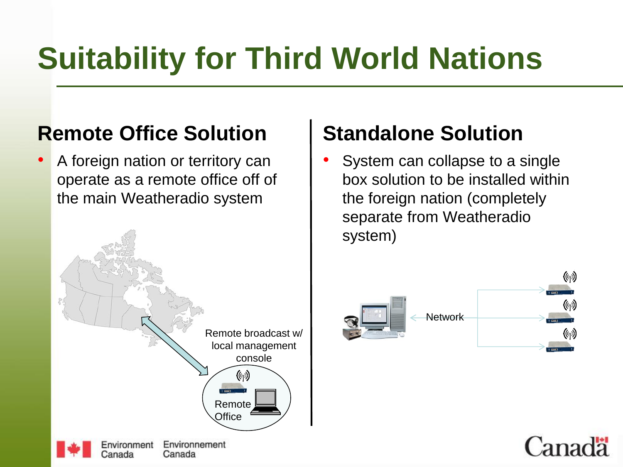## **Suitability for Third World Nations**

#### **Remote Office Solution**

• A foreign nation or territory can operate as a remote office off of the main Weatheradio system



#### **Standalone Solution**

System can collapse to a single box solution to be installed within the foreign nation (completely separate from Weatheradio system)



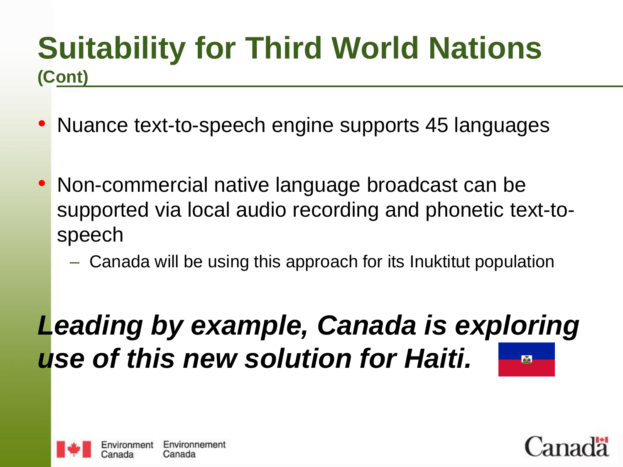#### **Suitability for Third World Nations (Cont)**

- Nuance text-to-speech engine supports 45 languages
- Non-commercial native language broadcast can be supported via local audio recording and phonetic text-tospeech
	- Canada will be using this approach for its Inuktitut population

#### *Leading by example, Canada is exploring use of this new solution for Haiti.***NA**